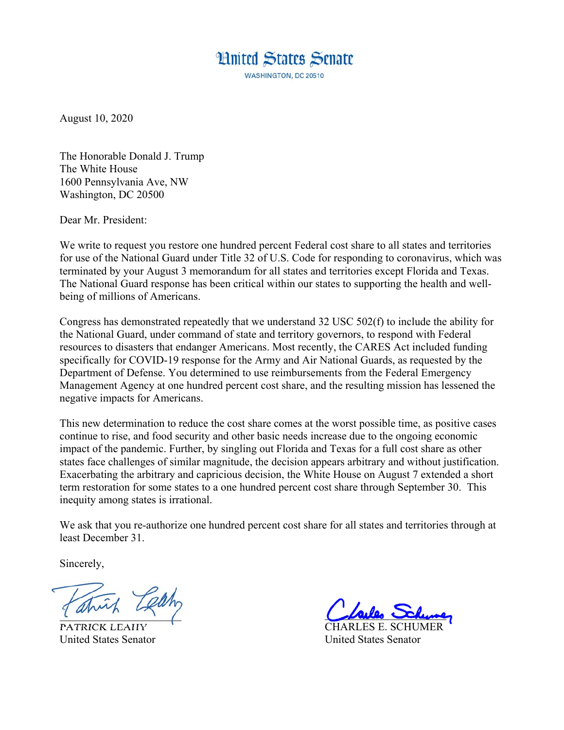## **Hnited States Senate**

**WASHINGTON, DC 20510** 

August 10, 2020

The Honorable Donald J. Trump The White House 1600 Pennsylvania Ave, NW Washington, DC 20500

Dear Mr. President:

We write to request you restore one hundred percent Federal cost share to all states and territories for use of the National Guard under Title 32 of U.S. Code for responding to coronavirus, which was terminated by your August 3 memorandum for all states and territories except Florida and Texas. The National Guard response has been critical within our states to supporting the health and wellbeing of millions of Americans.

Congress has demonstrated repeatedly that we understand 32 USC 502(f) to include the ability for the National Guard, under command of state and territory governors, to respond with Federal resources to disasters that endanger Americans. Most recently, the CARES Act included funding specifically for COVID-19 response for the Army and Air National Guards, as requested by the Department of Defense. You determined to use reimbursements from the Federal Emergency Management Agency at one hundred percent cost share, and the resulting mission has lessened the negative impacts for Americans.

This new determination to reduce the cost share comes at the worst possible time, as positive cases continue to rise, and food security and other basic needs increase due to the ongoing economic impact of the pandemic. Further, by singling out Florida and Texas for a full cost share as other states face challenges of similar magnitude, the decision appears arbitrary and without justification. Exacerbating the arbitrary and capricious decision, the White House on August 7 extended a short term restoration for some states to a one hundred percent cost share through September 30. This inequity among states is irrational.

We ask that you re-authorize one hundred percent cost share for all states and territories through at least December 31.

Sincerely,

PATRICK LEAHY United States Senator United States Senator

 $\frac{1}{\sqrt{2}}$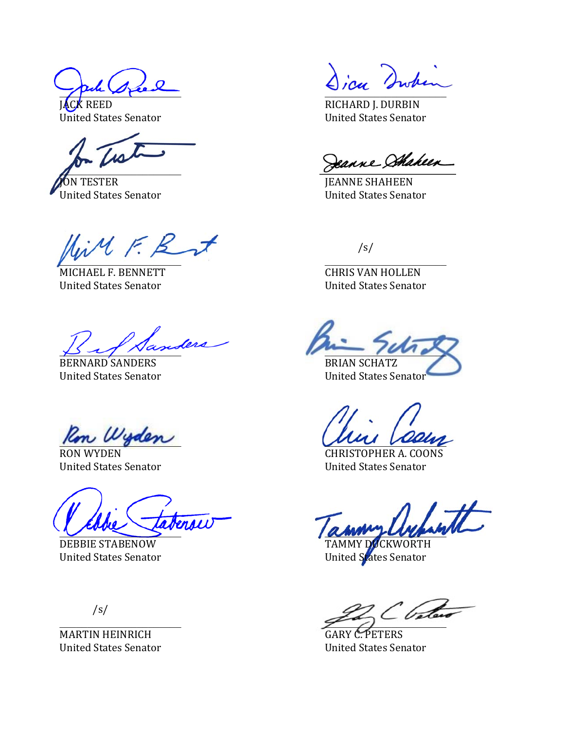pour direct

 $\overline{a}$ 

ON TESTER JEANNE SHAHEEN United States Senator United States Senator

 $iM \in \mathcal{B}$  $\sqrt{2}$ 

United States Senator United States Senator

 $\beta$  of Nanceae  $\mu$   $\mu$   $\mu$ 

BERNARD SANDERS BRIAN SCHATZ

Ron Wyden

\_\_\_\_\_\_\_\_\_\_\_\_\_\_\_\_\_\_\_\_\_\_ \_\_\_\_\_\_\_\_\_\_\_\_\_\_\_\_\_\_\_\_\_\_

DEBBIE STABENOW TAMMY DUCKWORTH United States Senator **United States Senator** 

/s/

MARTIN HEINRICH GARY C. PETERS

**EXAMPLE AND RICHARD J. DURBIN** United States Senator National States Senator National States Senator

Jeanne Shaheen

/s/

MICHAEL F. BENNETT CHRIS VAN HOLLEN

United States Senator United States Senator

RON WYDEN CHRISTOPHER A. COONS United States Senator United States Senator

 $\widetilde{\mathscr{S}}_{\bullet}$ 

United States Senator United States Senator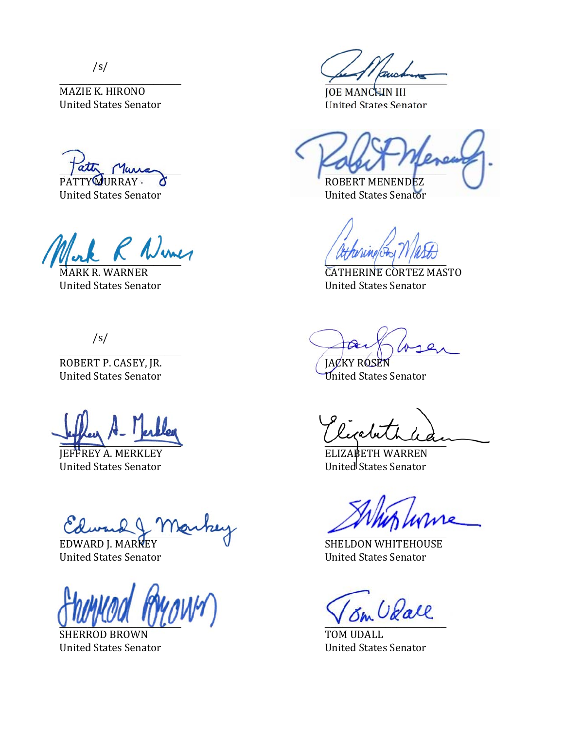/s/

MAZIE K. HIRONO JOE MANCHIN III

United States Senator United States Senator

 $R$  Numer

/s/

ROBERT P. CASEY, JR. JACKY ROSEN

JEFFREY A. MERKLEY ELIZABETH WARREN United States Senator **United States Senator** 

 $\alpha$ *ward*  $\downarrow$   $\sqcap$   $\alpha$ *varity* 

 $\bigcup_{i=1}^n$ 

SHERROD BROWN TOM UDALL

peuvant

United States Senator United States Senator

 $\sqrt{a\pi}$  Mura PATTY MURRAY  $\bullet$  ROBERT MENENDEZ

MARK R. WARNER **CATHERINE CORTEZ MASTO** United States Senator United States Senator

 $\overline{\mathcal{L}}$ 

United States Senator **United States Senator** 

\_\_\_\_\_\_\_\_\_\_\_\_\_\_\_\_\_\_\_\_\_\_ \_\_\_\_\_\_\_\_\_\_\_\_\_\_\_\_\_\_\_\_\_\_

EDWARD J. MARKEY V SHELDON WHITEHOUSE United States Senator United States Senator

United States Senator United States Senator